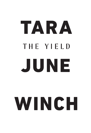# TARA THE YIELD JUNE

## WINCH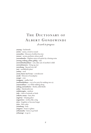## THE DICTIONARY OF ALBERT GONDIWINDI

#### *A work in progress*

**yuyung** – backwards **yuwin** – name, a word or sound **yuwarrbin** – blossom of yellow box tree **yuwarr** – aroma, perfume, odour, smell **yuwambanha** – frighten away evil spirits by a hissing noise **yurung, walung, yubaa, galing** – rain **yurrumbanhayalinya** – care, take care of another's child **yurrumbamarra** – bring up, rear **yurrubang** – big and very tall **yuri** – needlebush plant **yurbay** – seed **yuran, barra-ma-li-nya** – convalescent **yurali** – blossom of eucalyptus **yungir** – crier **yunggaay** – mallee fowl **yumbanidyilinya** – cry, to be sorry for making one cry **yumarradinya** – cry while walking along **yulung, yuwumbawu** – thistle, milk thistle **yulun** – blackwattle tree **yulubirrngiin** – rainbow **yulu** – claws of animals or birds **yuliyiin, nanay** – lean, thin **yugaway** – sleeping place **yugaawirra** – recline, like a dog **yirra** – lengthen or become longer **yirin** – fish, scales **yirimbang** – holy **yirigarra** – beam or glitter **yirbamanha** – leave, to go bush **yirbamagi** – to go to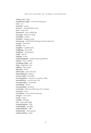**yirayin, yirin** – light **yiraydhuray, yirigaa** – star, the morning star **yiray** – sun **yirawulin** – sunset **yirawari** – cloud, thunder cloud **yiran** – long or far **yiramurrun** – boy, a tallish boy **yiramugu** – blunt, not sharp **yiramiilan** – sunrise **yirambin** – kangaroo teeth **yiramarang** – youth (before having tooth knocked out) **yiramal** – river bank **yiradhu** – day **yingulbaa** – crayfish holes **yingilbang** – ill, very ill **yingil giin** – consumption **yingil** – sick, ill **yingang** – locust **yindyamangidyal** – careful, respect, gentleness **yindaay** – horse, stallion **yinaagang, migay** – girl **yiing** – happiness or joy **yidharra** – hurt, injure **yibiryibir** – brush **yibirmanha** – paint, decorate **yibirmaldhaany** – painter **yawarra-ndhu** – be careful **yawanhayalinya** – care for as a mother a child **yawandyilinya** – care, for one's self **yaryanbuwaliya** – everywhere **yarrudhang** – dream **yarrayanhanha** – go about **yarrawulay** – blossom of the yarra, river red gum **yarraman** – horse **yarradunha** – beat on the boomerang **yarngun** – root of tree **yarany** – beard **yaradha** – fish gills **yara** – large, great, high **yanygayanygarra** – help **yanhanhadhu** – goodbye **yanhambilanha** – walk **yanhamanha** – chase, pursue **yanhamambirra** – let go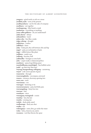**yangarra** – grind seeds, to rub on a stone **yandhul, yaala** – now, at the present **yandhayanbarra** – eat for the sake of company **yandharra** – eat together **yandangarang** – false beard, a mask **yambuwan** – everything or anything **yama-ndhu gulbarra** – do you understand? **yalul, durrur** – always **yalmambirra** – teach **yalara-nha** – hiss like a snake **yalgu, yabung** – drought **yaldurinya** – confess **yalbilinya** – learn **yalay** – body part, the soft between ribs and hip **yagay!** – pain, an exclamation of pain **yagar** – edible lettuce like plant **yadilinya** – ready to go **yadhang** – because, well **yadhandha** – berrigan or emu bush **yaba** – carpet snake or diamond python **yaanharra** – spear, long fishing spear **yaambuldhaany, yaambulgali** – liar, bullshit artist **yaala!** – go that way! that way! **wuyung, buragurabang, wiibagang** – currawong **wuyul** – cork-screw spicule of grass **wuurrawin** – through **wuurranngilanha** – encompass, surround **wuurra** – entrance, doorway, opening into **wuru, nan** – neck **wurrumany** – son **wurrugan** – fastening or tie **wurrawurramarra** – pain, feel little pain **wurraangalang** – fuzzy box tree **wurraan** – hair **wundayan** – niece **wunaagany, waringinali** – cousin **wumbay** – last, the last **wumba** – evening star **wululu** – duck, pink-eared **wudhamugu** – deaf, ears shut **wudha** – ear **wubunginya** – enter, dive, go under the water **wuba** – hole, a burrow, rat, native **woomera** – tool that throws the spear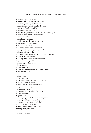**wiyay** – back, part of the back **wirrimbildanha** – leave a portion of food **wirridirrrangdirrang** – redback spider **wirrang, barrbay** – brush-tailed rock wallaby **wirramarri** – fish, large cod fish **wirralgan** – oracle (magic stone) **wirradyil** – flat piece of bark on which the dough is spread **wirimbirra, wurimbirra** – care, preserve **wirgany** – air, in the air **wirgaldhaany** – carpenter **wiraydhu marramali** – it is not possible **wiragala** – eastern ringneck parrot **wir** – air, sky, the heavens **winhanga-y-gunha-nha** – remember **winhanga-dili-nya** – feel, know one's self **winhanga-bili-nya** – believe **winhanga-bilang, winhang-galang** – clever, intelligent **winha-nga-rra** – listen, hear, think **winha-nga-nha** – know, think, remember **wingarra** – be sitting down **wingambang** – yolk of an egg **wilima** – middle **wiinyugamin** – bush fire **wiinybangayilinya** – fire, make a fire for another **wiiny** – fire, fuel, wood **wiiliin** – lips **wiilban** – cave **wiilba** – branch, twig **wiilawiila** – ornamental feathers for the head **wiila** – crest of the cockatoo **wiibadhuray** – tea trees or hop bushes **wigay** – damper, bread, cake **widyunngga?** – how? **widyunggiyan?** – like what? like which? **widyungga** – to arrive **widyarra** – drink **widyali, girrigirri** – alcohol, wine, strong drink **widyalang** – child, not yet walking **widyagala** – cockatoo, major Mitchell **widhin** – gap or opening, absent **wi-nhumi-nya** – wait, sit down again **waylang** – fruit, hard fruit **wayirawi** – fancy idea, a dream **wayimaa** – cockatoo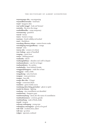#### THE DICTIONARY OF ALBERT GONDIWINDI

**wayawayanga-nha** – encompassing **wayamiilbuwawanha** – look back **wayal** – kangaroo skin **way! nyiila! ninggi!** – look out! beware! **wawinha** – fly, move the wings **wattleddhandha** – camp, temporary **warunarrung** – grandson **warrul** – honey **warru** – hornet or wasp **warriyan** – brush wallaby, red necked **warri** – blackthorn **warralang, dhuwaa, wiinaa** – eastern brown snake **warradagang warrygandhuray** – orange **warraal** – echo **warraa-nha** – scream or to shout **warr-bulang** – game of handball **wargang** – canoe, boat **wanya** – shifting ground **wanhanha** – throw **wanhangidyilinya** – abandon one's self to despair **wanhamindyarra** – care for no longer **wanhamidyarra** – be careless **wanhabanha** – leave behind, forsake **wanggaydyibangarra** – make fire or heat **wanggaay** – child, a little **wangadyang** – ants, food ants **wangaay** – meat, provisions **wangaa** – lazy, idle **wanga-dhu-nha** – I forget **wanga** – cormorant, black **wanduwa** – green wattle acacia **wandaang, dyirr, birig, guwindarr** – ghost or spirit **wanda-ba-dyuray** – fighting **wanbang** – star constellation not identified **wambuwuny** – kangaroo, grey **wambuwanybang** – duck, also the name of constellation **wambunbunmarra** – covetous, greedy **wambanybang** – male of birds, drake **wamal** – weapon **walwaay, waliwigang** – young man **walunginya, maranginya** – good, to be good **wali-wali** – crooked, bent, askew **wali-nya** – go alone **walgun** – ignorant, confused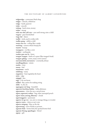**walgawalga** – cormorant, black shag **walgar** – clavicle, collarbone **walga** – hawk, sparrow **walar** – smooth **walang** – hard, stone, money **walan** – strong **wala-ma-nha-yali-nya** – care until strong, raise a child **wagara** – grey butcherbird **waga-dyi** – dance **wadhi** – stick, used to strike with **wadha-gung** – rabbit, a wild **waaya-ma-rra** – coiling like a snake **waawing** – caverns where bunyip lie **waawii** – bunyip **waangarra** – cry like a crow **waalurr** – earthquake **waalan-gun-ma-la** – brave **waagan-waagan** – barbs of a spear (like waagan's beak) **waagan-galang** – crows, many crows (raven) **nurranurrabul, nurranurra** – constantly, always **nundhugadiyara** – mimic **nunba** – close **nunay** – bad **nunarmun** – uncle **nulabang** – many **nuganirra** – beat regularly, the heart **nirin** – edge **niigigal** – kiss **niga** – I do not know **nidbul** – flax, native for making string **nhila** – it, she, he **nguyaguya-mi-lang** – beautiful **nguruwi, burrbiny, binbin** – belly, abdomen **ngurumarra** – close the eye, a sacred stone **nguru, ngurruwi, wubaa** – bag, other marsupial pouch **nguru-murr, yurung, dhurany** – clouds **ngurrunggarra** – passionate **ngurru-wi-ga-rra** – see, new or strange things, to wonder **ngurru-warra** – claim as one's own **ngurru-mirgang** – blue, as the sky **ngurrawang** – nest of birds or possum **nguram-bula** – bower bird, the spotted bower bird **nguram-birang, ngunhagan** – friend **nguny** – gift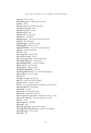**ngunmal** – fence, a fence **ngunhadar-guwur** – underneath the earth **ngunha** – elbow **ngumbur-ba-rra** – howl, like the wind **ngumbaay-marrang** – some **ngumbaay-guwal** – another **ngumba-rrang** – bug **ngumba-dal** – union, unity **ngumba-ay** – one, alone **ngulung-gayirr** – ceremonial crown, brow band **ngulung** – face, forehead **ngulumunggu** – outside of a thing **ngulangganha** – call out, cooee **ngulagambilanha** – home, to be returning home **ngubaan** – husband and wife **ngu-nha** – give **ngu-ng-ga-nha** – bring to give **ngu-mambi-la-nha** – borrow **ngu-m-ba-ngi-la-nha** – hands, hold up the **ngiyindidyu dharraay** – I want please **ngiyambalganhanha** – converse together **ngiriya-ga-rra** – pass through **nginhi-guliya** – all these places **ngindhuba nganhalbu** – you or me **ngindhu gindaywaruwar** – you are always laughing **ngiina-ngiina** – lot, a lot, many **ngi-ngi** – be **ngi-ngari-ma-giy** – all day long **ngayi-ny** – mind, the mind, thought **ngawum-bi-rra** – show, to show **ngawar** – bag, marsupial pouch of kangaroos and possums **ngawaal-ngawaal** – faint, giddy **ngarruung** – decayed **ngarruriyan** – hawk, white hawk **ngarriman** – manna from the bush **ngarri-ngarri-ba-l-guya-nha** – panting for water, as a dog **ngarrarr-gi-dyili-nya** – feel sorry, distress one's self **ngarrarr** – worry **ngarranngarran** – bluebells **ngarranga** – after **ngarrang, nharrang** – lizard, water dragon **ngarrang, bidyiwang, nharrang** – eastern water dragon **ngarradharrinya** – cry or weep **ngarradan** – bat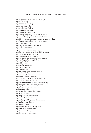**ngarra-gaya-miil** – star seen by the people **ngarin** – morning **ngaray-wirr-gi** – to sleep **ngaray-m-bang** – sharp **ngara** – charcoal cinders **nganundhi** – about who? **nganhundha** – me, with me **nganhiyany, yangiirang** – all about, all along **nganhi-gunhung-guwala** – time, another time **nganhi-gu** – belonging to that, distant in space and time **nganhayung galingabang bur** – our children **nganhali** – from there **nganhagu** – belonging to that, for that **nganhabul** – over there **nganha-yung** – ourselves, our own **nganha-wal** – up above, up there, high in the sky **nganha-ny-garri** – here or there **nganha-nguwur** – behind there **nganha-guliya-gu** – belonging to all of those **ngandhi-guliya-gu** – for those all **ngandhi** – who? **ngamuwila** – desert pea **ngamurr** – daughter **ngamung** – breast **ngamu-gaang** – girls without mothers **ngamu-dyaang** – boys without mothers **ngambuny** – lizard, big spotted **ngambar-gaa-nha** – covet, to be covetous **ngambaa** – curious, inquisitive **ngamba-rang, birrany-dyang** – boy, a little boy **ngama-ngama-rra** – feel about, feel for **ngaligin-gu** – ours, yours and mine **ngalguwama** – above **ngalgarra** – light, to give light, to shine **ngalar** – clean, clean **ngalan-y** – crystal, white quartz **ngalan-y** – flame of a fire **ngalan-bang, nyiil** – peak of the mountain **ngalan-bami-rra** – kindle **ngalamali** – to fish **ngadi-galita-bul** – time, a long time **ngadhuri-nya** – care for, tend **ngadhu wanga-dyung** – I am lost **ngadhu minya** – I can explain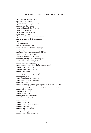**ngadhu mamalagirri** – to visit **ngadhu** – I, one person **ngadhi-galila** – belonging to me **ngabun** – mother's father **ngaagirridhunyal** – I will see you **ngaa-nha** – behold, see **ngaa-ngidyilinya** – see oneself **ngaa-mubang** – blind **ngaa-bun-gaa-nha** – searching, looking around **nga-ngaa-nha** – look after, to care for **narruway** – mirage **narrundirra** – kick **narru-buwan** – bees' nest **narru** – hammock, sling for carrying child **narriyar, wiwin** – hot **narrbang** – bag, a man or woman's dillybag **nanhi** – cracks, in the ground **nanhaybirri** – eager, be very eager **nanhamalguwany** – lost, something lost **nandibang** – brown snake, eastern **nanan** – fast-running, quick **namunmanha** – hand, hold the hand to the mouth **murun.gi-nya** – live, to be alive **murun-dhu** – I live, I breathe **murun** – life, breath **murrung** – grey box tree, eucalyptus **murrugarra** – read **murrudinayilinya** – contempt, treat with **murrudhadhun** – duck, spoonbill **murrubir** – heaven **murru, murruway, ngubuli, gawala, yabang** – road, track or path **murru, murrawaygu** – carving on trees, weapons, implements **murrin, wiray** – no, not **murrang, waa** – mud **muriin** – canoe, bark **murangarra** – alive, to be alive **muraany** – cockatoo, white **muny** – ant lion **munun** – big, much **munirganha** – jealous, be jealous **munhilbungarra** – dig **munhilbang** – hollow tree **mungarr** – kidneys **munga** – fruit of kurrajong tree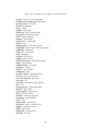#### THE DICTIONARY OF ALBERT GONDIWINDI

**mundu** – covered, of a tree and its bark **mundhay, mirrung, dhurang** – bark of trees **mumbal, nyimirr** – blossoms **mumala** – grandfather **muma** – comet **muliyiin** – finch, zebra **mulbirrang** – parrot, eastern rosella **mulanguwal** – part of something **mulaa** – night or darkness **muguwar** – silent, quiet **mugumnawa** – in, internally **mugul** – dumb **mugugalurgarra** – keep secret, conceal **mugilmugil** – wild orange or wild pomegranate **mugilbang** – wild lemon **mugii-nya** – close the eyes **mugi** – eaglehawk **muganha** – find, pick up **mugang** – grub, of trees **mudyi, maamungun** – friend, countryman **mudyi** – mates, friends **mudhamudhang** – acacia tree **mudhaany** – content **mubany** – man and wife **modyigaang** – elder **miyagan, wayadan** – kindred, relations **mirrway** – paint, coloured clays **mirriwula, mirriyula** – ghost dog **mirrirang** – hail **mirrimirri** – wicked, like a dog, thievish **mirri** – dog **minyang-guwar?** – what place, where? **minyali?** – about what? **minya-nganha?** – what is that? **minya** – question (what?) **mimudya** – mimosa acacia plant **mimagang** – crested bellbird **miimi** – sister **miilwarranha** – open the eye **miilumarra** – glance or wink the eye **miilgany** – openly, face to face **miilbi** – hole, a well **miilalmiilal** – wakeful, awake **miil bulal** – both eyes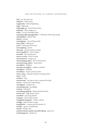**miil** – eye, also the stars **miidyum** – wild tomato **migiimanha** – flash of lightning **migii** – lightning **midyungga-ga** – I don't know when **midhang** – alone, single, one **mibar** – cocoon, butterfly inside **mayinyguwalgu ngunggirridyu** – I will share with other people **mayinyguliya** – human-like **mayiny** – people **mayanggang** – case and bag moths **maya, gulay** – fishing net **mawa** – sticky gum from trees **marrungbang** – justice **marrung** – caution, guard, cunning **marrun-gadha-li** – sweet tasting **marrubil** – fine and pleasant **marru-wa-nha** – form or make **marranmarran** – unripe, raw **marramurgang, dhan** – fist or closed hand marramarrang, nularri - haste, hurry **marraldirra** – frighten **marragir, marragiyirr** – naked, a widower **marragarra** – hold fast **marrabinya** – hands, stretch out the **marra-nung** – channels made by receding waters **marra** – hand **marbirra** – frog **marayarrang** – carving on trees, composed writing **marara** – carved trees with designs **maranggaal** – red gum tree **marang ngurung** – goodnight **marang** – well, good **marambang ngulung** – beauty, handsome face **maram-bul** – right, good, correct **maradhal** – past, long-distant **manygan** – parrot, blue bonnet **mangganha maganha** – choke or drown **mangga** – baby, chicken or pup **mangalanha** – conquer, get the mastery of **mandur** – quiet or undisturbed **mandu** – besides, else **mandara, binda, maybal, marrady, babang** – grass tree **mandaang guwu** – thank you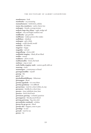**mambuwarra** – look **mambanha** – cry, mourning **mamaybumarra** – hold down, subdue **mama-dya, mambarra** – native cherry tree **malungan** – female, a young woman **maliyan, baga-daa, yibaay** – eagle, wedge tail **maliyan** – star, red bright southern star **maldhanha** – get, provide **maldhaany** – maker, person who makes **malbilinya** – obedient **malangun** – girl, a little **malang** – could, should, would **maladyin** – ill, infirm **maguwar** – happy **magadala** – red soil **magaadhang** – clover, wild **madhubul-mugiiny** – blind, all are blind **madhu** – enemy **madharra** – chew or suck **madhanmadhu** – forest, the bush **mabinya** – stop or wait **mabi, babila, mugiiny-mabi** – eastern quoll, wild cat **maarung** – circle **maamungun** – countryman or friend **guyunganmadilin** – myself **guyang** – fire **guyal** – dry **guyabadhambildhaany** – fisherman **guwunggan** – flood **guwiiny nganhala** – it is over there **guwiiny gandamay** – it is difficult **guwaywinya** – wait for a short while, sit, stay **guwayuwa** – briefly, for a short time **guwayu** – time, indefinite time, later **guwarra** – fetch, fetch back **guwariyan, garrang** – cockatiel, quarrion **guwanguwan** – bloody, much blood **guwang, guwaang** – fog, rain, mist **guwandiyala, wandayali** – echidna **guwan-ba-ga-ga-rra** – bleed **guwala-nha** – happen, come to pass **guwabigi** – to rest **guwaali** – wait for me **guuray** – fat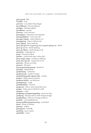#### THE DICTIONARY OF ALBERT GONDIWINDI

**guun, gurril** – flint **Guudha** – God **gurwarra** – save, deliver from danger **gurwaldhaany** – Saviour, deliverer **gurulgan** – bull frog tadpole **gurudhaany** – goanna **gurruwir** – news, sad news **gurruulgaan** – being that causes thunder **gurrugandyilinya** – cover one's self **gurrugan-balang** – cattle, bullock, cow **gurraggarang** – frog, to indicate rain **gurra-galang** – bitter medicine **gurra-gal-gam-bi-rra, guru-ga-ma-rra, gurra-gal-ga-rra** – finish **gurra-ga-ya-rra** – finish speaking **gurra-ga-dharra** – finish eating, eat all **gurmiyug** – cumbungi root **guriin** – charcoal or black **guriban** – curlew, bush stone-curlew bird **guray-mugu-mugu** – in distress, suffering **guray-dyu-ngi-nya** – long for, be in love **gurawiny** – flowers, not buds **gurawan** – fish spear **gurang, gurawung, guyang** – bandicoot **gununga** – hiding inside **gunhindyang** – motherless **gunhinarrung** – mother's mother **gunhimbang, gunhi, ngama, baba** – mother **gunhari** – belly, paunch of animal **gunhama, badyar** – ant, black ant **gunhagunang** – cough **gunhabunbinya** – sit down **gunguwari** – halo, a circle around the moon **gungun** – bark, a piece of bark for a dish **gungarra** – comb **gungalang, yanangaari guygalang** – green tree frog **gundyung** – black jay bird or white winged chough **gundhaybiyan** – blossom of stringy-bark tree **gundhay** – red stringybark tree **gunaru, gudharang, guwiyarrang** – wood duck **gunal** – female of animals **gunaany** – shallow **gunaagunaa** – butterfly **gumbang** – grave, a grave **gumbadha** – metal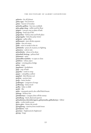**guluwin** – far off, distant **gulur, ngay** – but, however **gulun** – burrow of wombat **gulumba, gulibaa** – box tree, coolabah **gulu, galgu, dang** – millet seed for flour **gulgarr** – concave, tray or plate of bark **gulgang** – head, top of the **gulgandara** – before, time and both place **gulganagaba** – bird, the jacky winter **gulgama** – gully, valley **gulbirmarra** – part, divide, separate **gulbir** – few, not many **gulbi** – mist or smoke in the air **gulbalanha** – peace, be at peace, no fighting **gulamirra** – seek in vain **gulamilanha** – alone, to be alone **gulambali, birriyag** – pelican bird **gulamarra** – open **gulamalibu nunbabu** – to open or close **gulabirra** – refuse, reject **gulaay** – crossing place, bridge **gulaa** – anger **gugubarra** – kookaburra **gugi** – cup, of bark **guganha** – crawl or creep **gugan** – caterpillar, a yellow **gugabul** – fish, Murray cod **gudyiin** – ancient time **gudyi** – basin, bucket **gudhingan** – composer of songs **gudharang** – duck, wood **gudha** – baby or child **gudal** – flat **gubir** – macquarie perch, also called black bream **gubang** – hickory tree **gubaldurinya** – conquer, drive off the enemy **gubadhang** – finch, diamond sparrow **gubaadurinya, durrudurrugarra, gubaymanha, gulbadurinya** – follow **guba** – cooba wattle acacia **giyira, giira** – future, the womb **giyingdyung** – marrow, from inside bones **giyindyarra** – lick **giyarinya** – frightened, be frightened **giyang** – lungs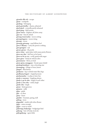**giyanda-dila-nh** – escape **giyan** – centipede **giyalang** – belonging **giyal, guwiindha** – shame, ashamed **giyal-giyal** – cowardly, partly ashamed **giyal-gang** – field mouse **giyaa-warra** – frighten off, drive away **giya-rra** – fear, be afraid **giwang wuurrranha** – moon setting **giwang bagarra** – moon rising **giwang** – moon **giwaang-giwaang** – mad fellow, fool **giwa-l-dhaany** – cook, the person cooking **girri girrigirri** – red **girran-girran** – ill, poorly **girra-wiiny** – quiet place with many pretty flowers **girra-ma-nha** – feel hot, to be burnt **girra-m-bi-ya-rra** – scold, speak with anger **girra-girra** – lively, be well, be alive **girarumarra** – blow, as wind **giran-giran, manggaan** – broad, spear shield **giralang bundinya** – star, a shooting star **giraangang** – foliage of trees, leaves **gingari** – flint knives **gindyarra** – lap or drink water like dogs **gindhaany, bugari** – ringtail possum **gindaymanha** – to play, to have fun **ginda-y-waruwar** – laughing always **ginda-y-ga-la-nha** – laugh at each other **ginda-y-awa-nha** – smile, laugh **ginda-nha** – laugh **ginan** – kind, gracious **gimarra** – milk **gilaa** – galah **gila** – so, then **giiny** – heart **giimbir** – fountain, spring, well **giilang** – story **giigandul** – wattle with silver flower **gigiy** – eaten enough **gigirr** – scent or smell **gidyirriga, badyariga** – budgerigar bird **gidyang** – hair of body, wool, fur **gidyagidyang** – egret, little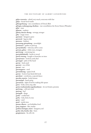#### THE DICTIONARY OF ALBERT GONDIWINDI

**gidya-wuruwin** – afraid, very much, overcome with fear **gidya** – broad-level wattle **gibirrgirrbaang** – star constellation of Orion's Belt **gibirgin, malanygyang, dindima** – star constellation the Seven Sisters (Pleiades) **gibir** – man **gibayan** – nephew **gibany, darran-dirang** – revenge, avenger **giba** – magic stone **gaymaan** – kangaroo grass **gawuwal** – lagoon, lake **gawuraa** – feathers **gawunang, giwambang** – moonlight **gawimarra** – gather or pick up **gawaymbanha** – welcome, tell to come **gawaan, gabaa** – white men, strangers **garriwang** – currawang tree **garrindubalunbil** – beetle in wood **garril, wurung** – boughs or branches on trees **garraywarra** – look for, seek, find **garraygal** – palm of the hand **garray** – land, sand **garrawi** – roe of fish **garrari** – net **garranygarra** – send **garrandarang** – paper, book **garran** – hook of any kind, fish hook **garrabari** – corroboree, a special dance **garraba, marrin** – body, human **garraayigal** – hand, grasp **garraawan** – light wood for making fish spears **garra** – hold, catch, stop, take **gariya wanhamindya nganhanduyan** – do not break a promise **gariwang** – cold east wind **gariwag** – leaf **garingali** – dingo **garila** – corella bird **garba** – fork, fork of a tree **garay** – sand **garal** – wattle tress **garaan-dharra** – eat forbidden food **gany, yingiyan** – like, similar **ganhur, buringin, marri** – kangaroo, red **ganha-nha, bunha-nha** – burn **ganginmarra** – lie, tell a lie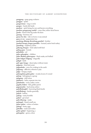#### THE DICTIONARY OF ALBERT GONDIWINDI

**ganggang** – gang-gang cockatoo **ganggaa** – spider **gangarrimaa** – ring or circle **gangan** – hawk, fish hawk **gandyar** – spirit being, he sees and knows everything **gandaru, gungarung, yambil** – crane, blue, white-faced heron **ganda** – bend of the leg under the knee **ganang** – beeswax, wet **ganaa-ba-nha** – ride on horse or any animal **gana-yi-rra** – peppermint tree **gambang, dilaang, dirraybang, gumbal** – brother **gambal, buragi, yungay, gamidha** – bustard, native bush turkey **gamalang** – raspberry, native **galiyang, birrgun** – fork-tailed swift bird **galing-gaan** – bowels **galindulin** – eel **galin-gabangbur** – children **galin-dhuliny, gibirrngaan** – black snake, red-bellied **galin-balgan-balgang** – dragonfly **galigal** – knife **gali-ngin-banga** – desert place without water **galguraa** – friar bird, noisy **galgambula** – oven, for cooking in the earth **galgaang** – affliction, wherein is pity **galga** – hungry, empty **galanygalany, galan galan** – cicada, locust, it's sound **galang** – belonging to a group **galagang** – wild onion **galabarra** – halve, separate into two **galaabanha** – noise, make a noise **gagalin, bidyin** – fish, golden perch **gagaamanha** – lead astray, seduce **gadyilbalungbil** – burrowing black beetle **gadyilbalung** – beetles generally **gadyal** – hollow **gadyag** – nasty, horrible **gadya!** – get away! **gadi, dharang** – snake **gadangul** – lizard, small one **gabur-gabur** – rotten or broken **gabuga** – brain, eggs **gabudha** – reeds and rushes **gabin-gidyal** – beginning, a **gabargabar** – green, colour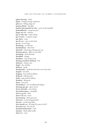**gaban, barrang** – white **gaban** – foreign, strange, unknown **gaba-rra** – fishing, drag-net **gaanha, dharal** – shoulder **gaanha-barra gaanha-bu-nha** – carry on the shoulder **gaalmaldhaany** – composer, poet **gaagu-ma-rra** – embrace **gaa-m-bila-nha** – hold a thing **gaa-l-marra** – compose, songs **gaa-darra** – erase **gaa-ba-rra** – carry on the back **ga-rra** – be or being **dyirribang** – an old man **dyiridyinbuny** – diver bird **dyiramiil** – charming, winning, eyes-up **dyinmay, gurray** – fight or war, tribal **dyinidnug** – duck, shoveler **dyindhuli** – hunger **dyindharr** – lean, barren, bare **dyinang, mundawi, dinhang** – foot **dyilwirra** – climb, a tree **dyigal** – fins of fishes **dyibarra** – speak **dyandyamba** – medicine, from the core of tree fern **dyagula** – lyre bird **dyagang** – boys without fathers **dyabaraa** – bull dog ants **dyaba** – girls without fathers **dyaabiny** – flying ant **duyan** – fat, meat **duwambiyan** – root of edible pink fingers **duruung-gar-gar** – glow-worm **durrur-buwulin** – ever, always **durrumbin, giima** – caterpillar **durru-l-ga-rra** – hide **durru-l-ba-rra** – burst **durrawiyung** – duck, grey teal **durrawan** – currawong, grey bird **durrany** – cloud, long white **duri-mambi-rra** – ill, make ill, cause to be ill **duri-duri-nya** – ill, to be ill **dundumirinmirinmal** – snail **dumiiny** – death adder snake **dumi-rra** – carry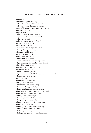#### THE DICTIONARY OF ALBERT GONDIWINDI

**dumbi** – blush **dulu-dulu** – logs of wood, big **dulbun-bun-ma-rra** – bow, or to bend **dulbi-bal-ga-nha** – hang down the head **duguny-bi-rra, dugu-winy-birra** – be generous **dugu-wirra** – catch **dugin** – shade **duga-y-ili-nya** – fetch for another **duga-nha** – fetch water, draw up water **dubu** – frog or toad **dubi** – chrysalis, pupa butterfly grub **dirriwang** – emu feathers **dirrinan** – bulbine lily **dirrigdirrig** – bee-eater, rainbow bird **dirrang-dirrang** – red ochre **dirramaay** – edible herb **dirra-dirra-wana** – herb **dinggu** – wild dog, dingo **dinbuwurin** – lark, native **dinawan, gawumaran, nguruwiny** – emu **dilga-nha, bunganha-ba-nha** – comb the hair **dilan-dilan-garra** – shake **dila-dila-bi-rra** – cause confusion **dila-birra** – scatter, sow **diikawu** – emu bush, spotted **digu, mumbil, munbil** – blackwood, black-timbered wattle tree **digimdhuna** – fig or fig tree **digal** – fishbone **dibiya** – duck, whistling tree **dibang** – nails or spikes **dhuruwurra** – cast off, shedding **dhurri-rra** – lay eggs, to be born **dhurri-nya, dhurrirra** – born, to be born **dhurrgang, nguruwiya** – owl, tawny frogmouth **dhurragarra** – follow up, track, pursue **dhurany** – news, or message **dhuragun, bunbun** – bittern, native **dhungany** – greenleek parakeet **dhundhu, ngiyaran, gunyig** – black swan **dhundhal** – close or near **dhumuny** – bardi grubs, used for fishing **dhumba** – brittle gum, eucalyptus **dhulubang** – soul or spirit **dhulu-ga-rra** – guilty, to be found convicted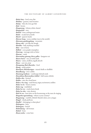**dhulu-biny** – level, even, flat **dhuliiny** – goanna, sand monitor **dhulay** – fish, the river gar fish **dhul** – brown **dhugamang** – lobster, white clawed **dhugaaybul** – very **dhubul** – bore, underground water **dhubi** – cicada larva, beetle **dhirril** – sparrow hawk **dhirran-bang** – noon, midday (sun in the zenith) **dhirraany, gandiyagulang** – mountain **dhiraa-nha** – rise like the dough **dhindha** – ball, anything rounded **dhin** – nut or berry **dhilbul** – coot, purple swamphen **dharrang** – message stick or letter **dharran** – creek **dharrambay, gimang, dirru, galbu** – kangaroo rat **dharra-barra** – eat, cut with teeth **dharra** – eaten, swallow, engulf, absorb **dhara** – cast out, away **dhangaang, dhal, dharrabu** – food **dhang** – seeds, grains **dhandyuri, dhandyurigan** – mussel shells or shellfish **dhandhaang** – river catfish **dhamiyag, baaliyan** – cumbungi, bulrush reeds **dhamaliiny, dharramaliyu, bulbul** – bull roarer, whirler **dhalba-nha** – bruised **dhalba** – rain, the cloud burst **dhala-y-ba-rang** – mad frenzy, anger, excitement, sudden **dhala-wa-la** – forest country **dhala-rug** – wattlebird **dhala-ba-rra** – crack, burst, break **dhala-ba-nha** – ruin, destroy **dhal-bi-rra** – beat time on the boomerang, as the men do singing **dhaganhu ngurambang** – where is your country? **dhagamang** – crayfish, whitish-blueish claws, not a yingaa **dhagal** – cheek, jawbone **dhadhi?** – belonging to what place? **dhabugarra** – bury **dhabugany** – buried **dhabudyang** – old woman **dhabal** – bone **dhaan yanha** – come here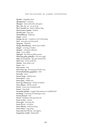**dhaalirr** – kingfisher bird **dhaagunmaa** – cemetery **dhaagun** – land, earth, dirt, soil, grave **dha, -dya, -la, -ra** – on, at, in, by **dha-l-mambi-rra** – feed, a child or dog **dawin, bawa-l-ganha** – hatchet **darruba-nha** – leap over **darriyaldhuray** – bedroom **dargin** – across **danyga-ma-rra** – compete, to vie in throwing **dani** – wax, gum or honeycomb **dangarin** – shell fish **dangar, dhandhaang** – fresh water catfish **dangal** – covering or shelter **dangaay** – rainwater, oldwater **dang** – roots, edible **dalungal** – fine fella, excellent person **dalawang, gabu, gabudha** – box tree, apple **dabu-ya-rra murun** – life, give, bestow life **dabu-wan** – leech, small one **daanha** – knit, make a net **buyaa** – law **buya-marra** – beg **buwi-birra-ng** – boomerang of bark, a toy **buwawabanhanha, gugabarra** – boil **buwanha** – grow **buwaa-bang** – orderly, tame **buwa-garra** – come **buwa-gany** – edible root **buwa-ga-nhumi-nya** – before, be before **buwa-dharra** – fill the mouth **buurri** – boree tree, weeping myall **bururr** – hop-bush **burrindin, gulridy** – magpie-lark, peewee or mudlark bird **burrbang** – ceremony of initiating to man **burral, darriyal** – bed **burral** – birthplace, the spot, the soil **burra-m-bin** – eternal **burra-giin** – beeswax, dry **burra-di-rra** – cut down **burra-dhaany** – ball, bouncing **burra-binya** – leap, jump **burra-ban-ha-l-bi-rra** – fire, light a **burguwiiny-mudil** – blacksmith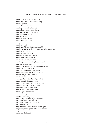**burbi-rra** – beat the time, and sing **burba-ng** – circle, a round shape, heap **burany** – parrot **buram-ba-bi-rra** – share **buralang** – black-faced cockatoo **buraandaan** – heron, night-heron **bura-mi-nga-nha** – cause to be **bunyi-ng-ganha** – breathe **bunyi-ng** – breath **bunhiya** – wild oak tree **bunhi-dyili-nya** – beat **bungi-rra** – swing **bundi-nya** – fall **bundi-mambi-rra** – let fall, cause to fall **bundhi, nalanala** – club, thick knob on end, war weapon **bundharran** – paddle **bundharraan** – canoe oar **bundarra** – freeze, feel very cold **bunda-nha** – draw, a picture **bunda-ng** – cicadas, butterfly **bunda-l-ga-nha** – hanging, be suspended **bunbiya** – grasshopper **bunba-nha** – escape, run, moving away, fleeing **bunba-na-nha** – run after **bunan, bundhu** – dust, rising vapour **bunan** – carried by the wind, dust storm **bun-ma-rra, ma-rra** – make or do **bumbi** – smoke **bumalgalabu wayburrbu** – right or left **bumal-bumal** – hammer, a stick **bumal** – hammer, stone for bruising nuts **buma-ngidyili-nya** – beat one's self **buma-l-gidyal** – fight or battle **bum-bi-rra** – blow, with mouth **bulun** – egret, white crane **bulan-bulan** – parrot, crimson rosella **bulaguy** – saltbush **bula-bi-nya** – couples, to be in couples **buguwiny, bugaru, gungil** – grass **bugurr** – climbing plants or vines **bugu-l** – fish line **bugiyunbarrul** – time, after sunset, twilight **buginybuginy, manygan** – blue bonnet parrot **bugarr** – carrion **bugarnan** – bad smell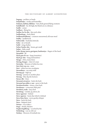**bugang** – necklace or beads **budyabudya** – moths and butterflies **budyaan, dyibiny, dibilany** – bats, birds general flying creatures **budulbudul** – far off, high, the bluish air at a distance **budhi** – corner **budharu** – flying fox **budhar-ba-la-nha** – kiss each other **budhanbang** – duck, black **budhaanybudhaany** – common sneezeweed, old man weed **budha** – sandlewood **bubul, dula** – backside, buttocks **bubu** – air or breath **bubil** – wing, feather **bubay-bunha-nha** – lessen, get small **bubay** – little, small **buba-dyang-marra, garrigaan, banhumiya** – fingers of the hand **biyambul** – all **biyal-gam-bi-rra** – hang (transitive) **biyal-ga-nha** – hang (intransitive) **biyaga** – often, many times **birring, birrgan** – chest of a man **birrinalay** – blossom of white box tree **birri-birri-ma-rra** – meet **birri** – white box tree, eucalyptus **birranilinya** – run away with **birrang-ga** – high up **birrang** – journey to another place **birrang** – blue sky, the horizon **birran-dhi** – from **birramal, yirrayirra** – bush, the bush **birramal-gu yakha-y-aan** – gone to the bush **birrabuwawanha** – return, come back **birrabunya** – cormorant, little pied **birrabirra, malu** – lazy, tired **birrabang** – outside, up, above, far **birra-nguwurr** – behind **birra-nguwur** – back, that which is behind **birra-bina-birra** – move gently, whisper **birra** – back, the back **birra** – fatigued, tired **birinya** – scar, make a **birgu** – shrubs, thickets **birgili, birgilibang** – scorched by fire **birdyulang** – scar an old scar **birdany** – blossom of ironbark tree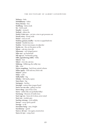**birbarra** – bake **birbaldhaany** – baker **biran, birrany** – boy **biralbang** – duck, musk **bir** – birth mark **binydyi** – stomach **binhaal** – eldest, the **bindyi-l-duri-nya** – cut into a tree to get possums out **binaal, wirra** – broad, wide **bimirr** – end, an end **bimbun, gumarr, mudha** – tea tree or paperbark tree **bimbul** – bimble box tree **bimbin** – brown treecreeper, woodpecker **bimba-rra** – fire, set the grass on fire **bilwai** – oak tree, river she **biluwaany** – red-winged parrot **bilin-nya** – go backwards **bili-nga-ya** – backwards, going **bilbi, ngundawang, balbu** – bilby **bilawir** – hoe **bilawi** – river she oak tree **bilabang** – billabong, the milky way **bila** – river **biiyirr, magalang** – back bone, spinal column **biilaa, ngany** – bull oak tree, forest oak **bidyuri** – pituri **bidya** – male **bidhi, babir** – big **bibidya** – fish hawk, osprey **bayu, buyu** – leg **bayirgany** – leeches **baryugil** – eastern blue tongue lizard **barru-wu-ma-nha** – gallop, run fast **barru-dang** – juice from a tree **barru** – rabbit-like rat (probably bilby) **barrinang** – blossom of wattle trees **barri-ngi-rra** – leave, let it alone, never mind **barri-ma** – musket, gun **barrbay, wirrang** – rock wallaby **barray!** – move quick, quick! **barrage** – to fly **barradam-bang** – star, a bright **barrabarray** – quick! **barra-y-ali-nya** – rise again, resurrection **barra-wi-nya** – camp, hunt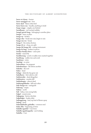**barra-wi-dyany** – hunter **barra-manggari-rra** – love **barra-dyal** – flame robin bird **barra-barra-ma** – handle, anything to hold **bargu-mugu** – cripple, one limbed **baradhaany** – red-necked wallaby **bangal-guwal-bang** – belonging to another place **bangal** – time, or place **banga-ny** – broken **banga-nha** – break into rain, begin to rain **banga-ma-rra** – break **banga-l** – fire sticks, friction **banga-di-ra** – chop, cut, split **banga-bil-banga-bil** – cutting instrument **banga-bi-lang** – broken in pieces **bandya-bandya-birra** – cause pain **bandu** – march fly **bandhuwang** – scrub or mallee trees matted together **bandhung** – mallee tree and scrub **bambinya** – swim **bambigi** – to swim **baluwulinya** – be pregnant **balunhuminya** – die before another **balunha** – die now **balun** – dead **baluga** – dark, fire has gone out **baludharra** – feel cold, be cold **balubuwulin** – dead altogether **balubunirra** – murder, kill **balubalungin** – almost dead **balubungabilanha** – kill each other **balu-bunga-rra** – extinguish **balmang** – empty **balima** – north **bali** – baby, a very young baby **balgal** – sound, noise **balgagang** – barren, desolate **balgabalgar** – leader, elder **balanggarang** – bud, top bud of flower spray **balang** – head **balandalabadin, gubudha** – common reed **balan-dha** – beginning, of time **baladhu nganhal** – I am from **baladhu ngaabunganha** – just looking **baladhu** – I am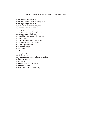**balabalanirra** – beat a little, slap **balabalamanha** – lift softly or slowly, move **balabala-ya-li-nya** – whisper **bagurra** – blossom of kurrajong tree **bagir-ngan** – cousin or uncle **bagaaygang** – shell, a small one **bagaay, galuwaa** – lizard, shingle back **badyar, gunhama** – black ant **badhawal, bargan, balgang** – boomerang **badharra** – bite **badhang, buwurr** – cloak, possum skin **badha, yiramal** – bank of the river **babimubang** – fatherless **babildhaany** – singer **babiin** – father **babala** – leather-head, noisy friar bird **baaywang** – big hill **baayi** – footprint **baawan, gargalany** – silver or boney perch fish **baalmanha** – floating **baala** – footstep **baaduman** – red spotted gum tree **baabin** – nettle plant **baabaa, ngandir, nguramba** – deep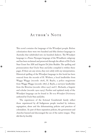### AUTHOR'S NOTE

This novel contains the language of the Wiradjuri people. Before colonisation there were two hundred and fifty distinct languages in Australia that subdivided into six hundred dialects. The Wiradjuri language is a Pama–Nyungan language of the Wiradhuric subgroup and has been reclaimed and preserved through the efforts of Dr Uncle Stan Grant Snr AM and linguist Dr John Rudder. The spelling and pronunciation that Uncle Stan and John compiled is within these pages. If there are any errors, they rest solely with my interpretation. Historical spelling of the Wiradjuri language in this book has been sourced from the records of H. Withers, a local landholder from Wagga Wagga (records: 1878), H. Baylis, a police magistrate from Wagga Wagga (records: 1887), J. Baylis, a surveyor landholder from the Riverina (records: 1880s–1927) and C. Richards, a linguist and scholar (records: 1902–1903). Further and updated study of the Wiradjuri language can be found in *The new Wiradjuri Dictionary*  authored by Uncle Stan and John.

The experiences of the fictional Gondiwindi family reflect those experienced by all Indigenous people touched by violence, segregation, abuse and the dehumanising policies and practices of colonialism. As part of these separation policies, the government and churches banned and discouraged the use of the native tongue. They did this by forcibly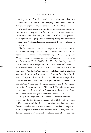removing children from their families, where they were taken into missions and institutions in order to expunge the Indigenous culture. This practice began in 1910 and continued until the 1970's.

Cultural knowledge, community history, customs, modes of thinking and belonging to the land are carried through languages. In the last two hundred years, Australia has suffered the largest and most rapid loss of languages known to history. Today, despite efforts of revitalisation, Australia's languages are some of the most endangered in the world.

The depictions of violence and intergenerational trauma suffered by Indigenous people affected by separation policies has been documented in various publications including the 1997 *Bringing Them Home: report of the National Inquiry into the Separation of Aboriginal and Torres Strait Islander Children from Their Families.* Depictions of mission life from the perspective of Reverend Greenleaf are derived from the writings of Reverend J.B. Gribble including *A Plea For Aborigines of New South Wales*. Gribble founded and ran the Christian Warangesda Aboriginal Mission in Darlington Point, New South Wales. Prosperous Mission, Station and Home were inspired by Warangesda which ran as an Aboriginal Mission between 1880 and 1884; as Warangesda Aboriginal Station under the Aborigines Protection Association between 1884 and 1897; under government management by the Aborigines Protection Act between 1897 and 1925; under private management between 1925 and 2014.

The girls' and boys' homes mentioned are fictional, but have been drawn from the descriptions of the Aboriginal Girls' Training Home of Cootamundra and the Kinchela Aboriginal Boys' Training Home. In reality the children's experiences were much harsher in comparison to those depicted. Prior to the opening of the Aboriginal Girls' Training Home at Cootamundra, children from all over the state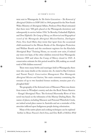were sent to Warangesda. In *The Stolen Generations – The Removal of Aboriginal Children in NSW 1883 to 1969*, prepared for the New South Wales Ministry of Aboriginal Affairs, Professor Peter Read estimated that there were '300 girls placed at the Warangesda dormitory and subsequently in service before 1916.' In Beverley Gulambali Elphick, and Don Elphick's *The Camp of Mercy; an Historical and Biographical record of the Warangesda Aboriginal Mission/Station, Darlington Point, New South Wales*; they wrote that 'apart from the occasional child mentioned in the Minute Books of the Aborigines Protection and Welfare Boards and the enrolment registers for the Kinchela Aboriginal Boys' Training Home, no records now exist, if indeed any were ever kept, of the other children removed from Warangesda between 1909 and when the Camp of Mercy closed in 1925. A conservative estimate for this period would be 200, making an overall total of 500 children removed.'

There were many births and marriages held at Warangesda; there were also many deaths at the mission site. As stated in Ray Cristison and Naomi Parry's *Conservation Management Plan Warangesda Aboriginal Mission and Station*; 'the main cemetery containing the remains of up to two hundred former residents, remains part of a ploughed field.'

The geography of the fictional town of Massacre Plains was drawn from towns in Wiradjuri country and also the Rock Nature Reserve – Kengal Aboriginal Place. The fictional Murrumby River of this novel was based on the tributaries of the Murray-Darling Basin. The names of places, including Massacre and Poisoned Waterhole Creek, are indeed actual place names in Australia and are a reminder of the atrocities inflicted upon Indigenous people during colonisation.

Many of the native plants and cooking techniques can be explored further in Bruce Pascoe's *Dark Emu*, and Eric Roll's *A Million Wild*